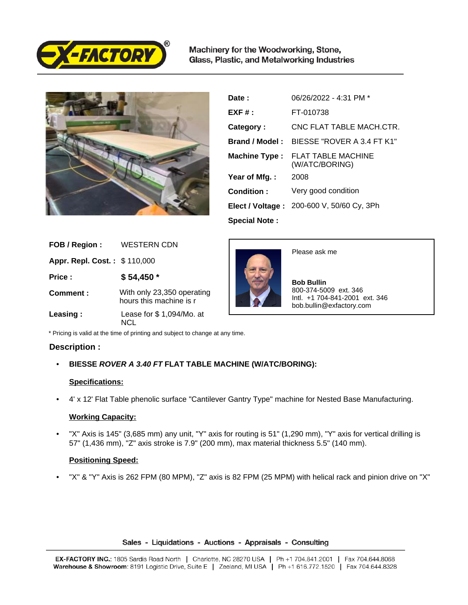

Machinery for the Woodworking, Stone, Glass, Plastic, and Metalworking Industries



| Date:                 | 06/26/2022 - 4:31 PM *                    |
|-----------------------|-------------------------------------------|
| $EXF#$ :              | FT-010738                                 |
| Category:             | CNC FLAT TABLE MACH CTR.                  |
| <b>Brand / Model:</b> | BIESSE "ROVER A 3.4 FT K1"                |
| <b>Machine Type:</b>  | FLAT TABLE MACHINE<br>(W/ATC/BORING)      |
| Year of Mfg.:         | 2008                                      |
| Condition:            | Very good condition                       |
|                       | Elect / Voltage: 200-600 V, 50/60 Cy, 3Ph |
| <b>Special Note:</b>  |                                           |

| FOB / Region :               | <b>WESTERN CDN</b>                                    |
|------------------------------|-------------------------------------------------------|
| Appr. Repl. Cost.: \$110,000 |                                                       |
| Price :                      | $$54,450*$                                            |
| Comment:                     | With only 23,350 operating<br>hours this machine is r |
| Leasing:                     | Lease for \$1,094/Mo. at<br>וראו                      |



Please ask me

 **Bob Bullin** 800-374-5009 ext. 346 Intl. +1 704-841-2001 ext. 346 bob.bullin@exfactory.com

\* Pricing is valid at the time of printing and subject to change at any time.

# **Description :**

• **BIESSE ROVER A 3.40 FT FLAT TABLE MACHINE (W/ATC/BORING):** 

# **Specifications:**

• 4' x 12' Flat Table phenolic surface "Cantilever Gantry Type" machine for Nested Base Manufacturing.

# **Working Capacity:**

"X" Axis is 145" (3,685 mm) any unit, "Y" axis for routing is 51" (1,290 mm), "Y" axis for vertical drilling is 57" (1,436 mm), "Z" axis stroke is 7.9" (200 mm), max material thickness 5.5" (140 mm).

# **Positioning Speed:**

• "X" & "Y" Axis is 262 FPM (80 MPM), "Z" axis is 82 FPM (25 MPM) with helical rack and pinion drive on "X"

Sales - Liquidations - Auctions - Appraisals - Consulting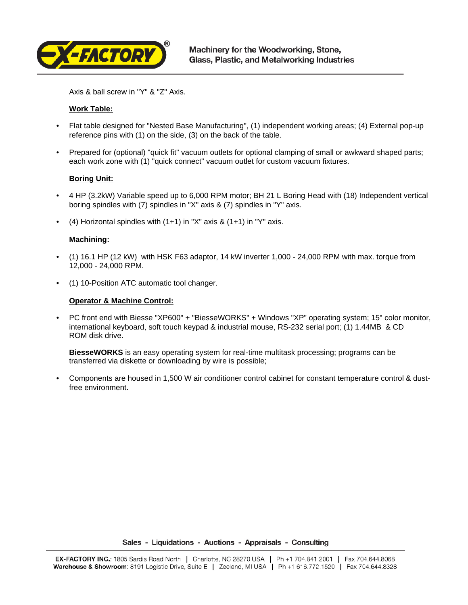

Axis & ball screw in "Y" & "Z" Axis.

# **Work Table:**

- Flat table designed for "Nested Base Manufacturing", (1) independent working areas; (4) External pop-up reference pins with (1) on the side, (3) on the back of the table.
- Prepared for (optional) "quick fit" vacuum outlets for optional clamping of small or awkward shaped parts; each work zone with (1) "quick connect" vacuum outlet for custom vacuum fixtures.

# **Boring Unit:**

- 4 HP (3.2kW) Variable speed up to 6,000 RPM motor; BH 21 L Boring Head with (18) Independent vertical boring spindles with (7) spindles in "X" axis & (7) spindles in "Y" axis.
- (4) Horizontal spindles with  $(1+1)$  in "X" axis &  $(1+1)$  in "Y" axis.

### **Machining:**

- (1) 16.1 HP (12 kW) with HSK F63 adaptor, 14 kW inverter 1,000 24,000 RPM with max. torque from 12,000 - 24,000 RPM.
- (1) 10-Position ATC automatic tool changer.

#### **Operator & Machine Control:**

• PC front end with Biesse "XP600" + "BiesseWORKS" + Windows "XP" operating system; 15" color monitor, international keyboard, soft touch keypad & industrial mouse, RS-232 serial port; (1) 1.44MB & CD ROM disk drive.

**BiesseWORKS** is an easy operating system for real-time multitask processing; programs can be transferred via diskette or downloading by wire is possible;

• Components are housed in 1,500 W air conditioner control cabinet for constant temperature control & dustfree environment.

Sales - Liquidations - Auctions - Appraisals - Consulting